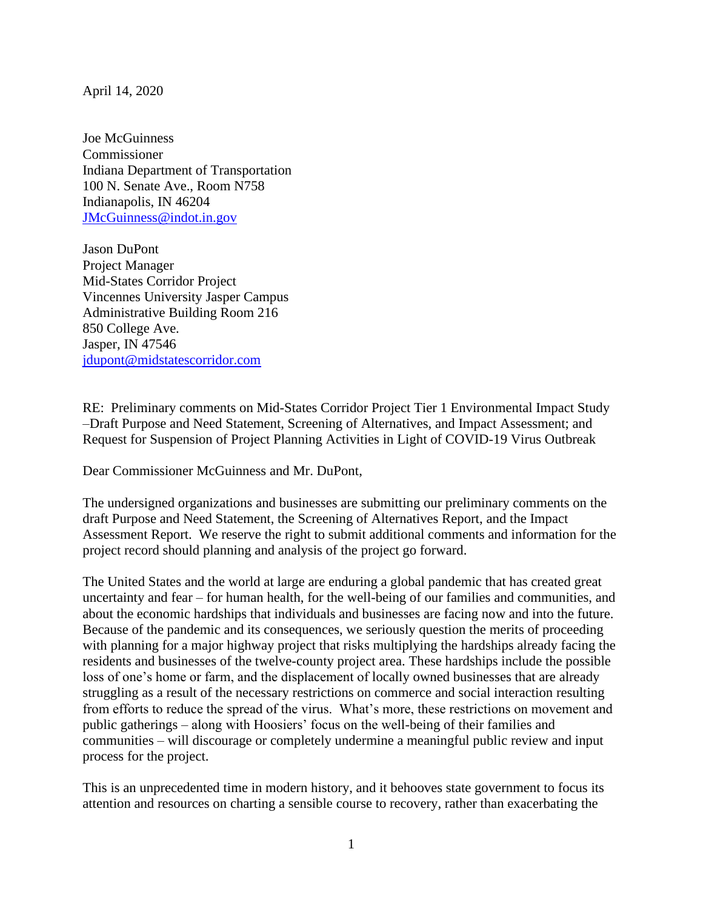April 14, 2020

Joe McGuinness Commissioner Indiana Department of Transportation 100 N. Senate Ave., Room N758 Indianapolis, IN 46204 [JMcGuinness@indot.in.gov](mailto:JMcGuinness@indot.in.gov)

Jason DuPont Project Manager Mid-States Corridor Project Vincennes University Jasper Campus Administrative Building Room 216 850 College Ave. Jasper, IN 47546 [jdupont@midstatescorridor.com](mailto:jdupont@midstatescorridor.com)

RE: Preliminary comments on Mid-States Corridor Project Tier 1 Environmental Impact Study –Draft Purpose and Need Statement, Screening of Alternatives, and Impact Assessment; and Request for Suspension of Project Planning Activities in Light of COVID-19 Virus Outbreak

Dear Commissioner McGuinness and Mr. DuPont,

The undersigned organizations and businesses are submitting our preliminary comments on the draft Purpose and Need Statement, the Screening of Alternatives Report, and the Impact Assessment Report. We reserve the right to submit additional comments and information for the project record should planning and analysis of the project go forward.

The United States and the world at large are enduring a global pandemic that has created great uncertainty and fear – for human health, for the well-being of our families and communities, and about the economic hardships that individuals and businesses are facing now and into the future. Because of the pandemic and its consequences, we seriously question the merits of proceeding with planning for a major highway project that risks multiplying the hardships already facing the residents and businesses of the twelve-county project area. These hardships include the possible loss of one's home or farm, and the displacement of locally owned businesses that are already struggling as a result of the necessary restrictions on commerce and social interaction resulting from efforts to reduce the spread of the virus. What's more, these restrictions on movement and public gatherings – along with Hoosiers' focus on the well-being of their families and communities – will discourage or completely undermine a meaningful public review and input process for the project.

This is an unprecedented time in modern history, and it behooves state government to focus its attention and resources on charting a sensible course to recovery, rather than exacerbating the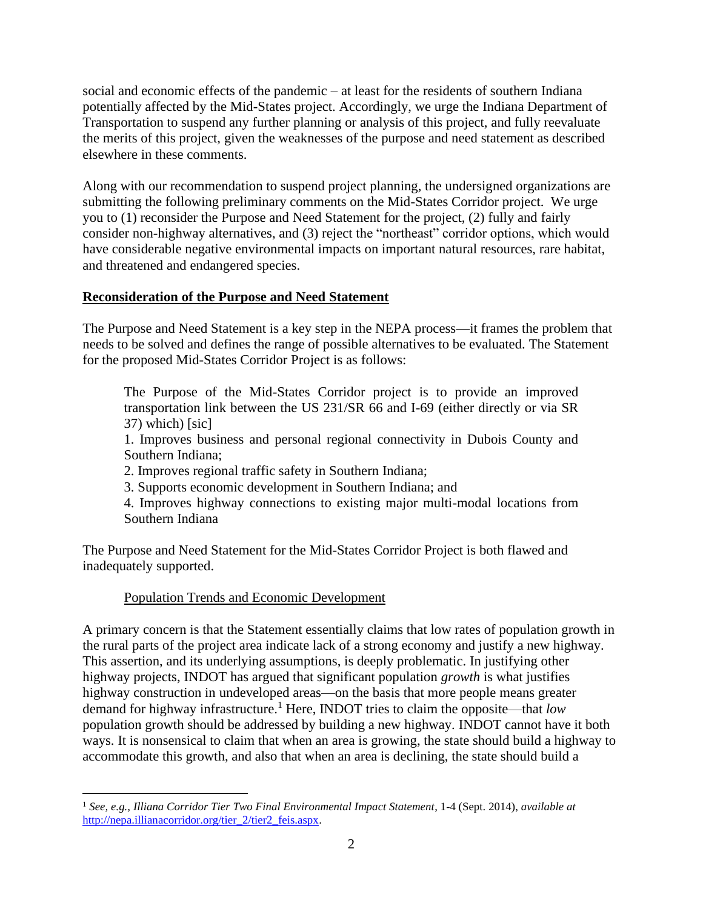social and economic effects of the pandemic – at least for the residents of southern Indiana potentially affected by the Mid-States project. Accordingly, we urge the Indiana Department of Transportation to suspend any further planning or analysis of this project, and fully reevaluate the merits of this project, given the weaknesses of the purpose and need statement as described elsewhere in these comments.

Along with our recommendation to suspend project planning, the undersigned organizations are submitting the following preliminary comments on the Mid-States Corridor project. We urge you to (1) reconsider the Purpose and Need Statement for the project, (2) fully and fairly consider non-highway alternatives, and (3) reject the "northeast" corridor options, which would have considerable negative environmental impacts on important natural resources, rare habitat, and threatened and endangered species.

## **Reconsideration of the Purpose and Need Statement**

The Purpose and Need Statement is a key step in the NEPA process—it frames the problem that needs to be solved and defines the range of possible alternatives to be evaluated. The Statement for the proposed Mid-States Corridor Project is as follows:

The Purpose of the Mid-States Corridor project is to provide an improved transportation link between the US 231/SR 66 and I-69 (either directly or via SR 37) which) [sic]

1. Improves business and personal regional connectivity in Dubois County and Southern Indiana;

2. Improves regional traffic safety in Southern Indiana;

3. Supports economic development in Southern Indiana; and

4. Improves highway connections to existing major multi-modal locations from Southern Indiana

The Purpose and Need Statement for the Mid-States Corridor Project is both flawed and inadequately supported.

# Population Trends and Economic Development

A primary concern is that the Statement essentially claims that low rates of population growth in the rural parts of the project area indicate lack of a strong economy and justify a new highway. This assertion, and its underlying assumptions, is deeply problematic. In justifying other highway projects, INDOT has argued that significant population *growth* is what justifies highway construction in undeveloped areas—on the basis that more people means greater demand for highway infrastructure.<sup>1</sup> Here, INDOT tries to claim the opposite—that *low* population growth should be addressed by building a new highway. INDOT cannot have it both ways. It is nonsensical to claim that when an area is growing, the state should build a highway to accommodate this growth, and also that when an area is declining, the state should build a

<sup>1</sup> *See, e.g., Illiana Corridor Tier Two Final Environmental Impact Statement*, 1-4 (Sept. 2014), *available at* [http://nepa.illianacorridor.org/tier\\_2/tier2\\_feis.aspx.](http://nepa.illianacorridor.org/tier_2/tier2_feis.aspx)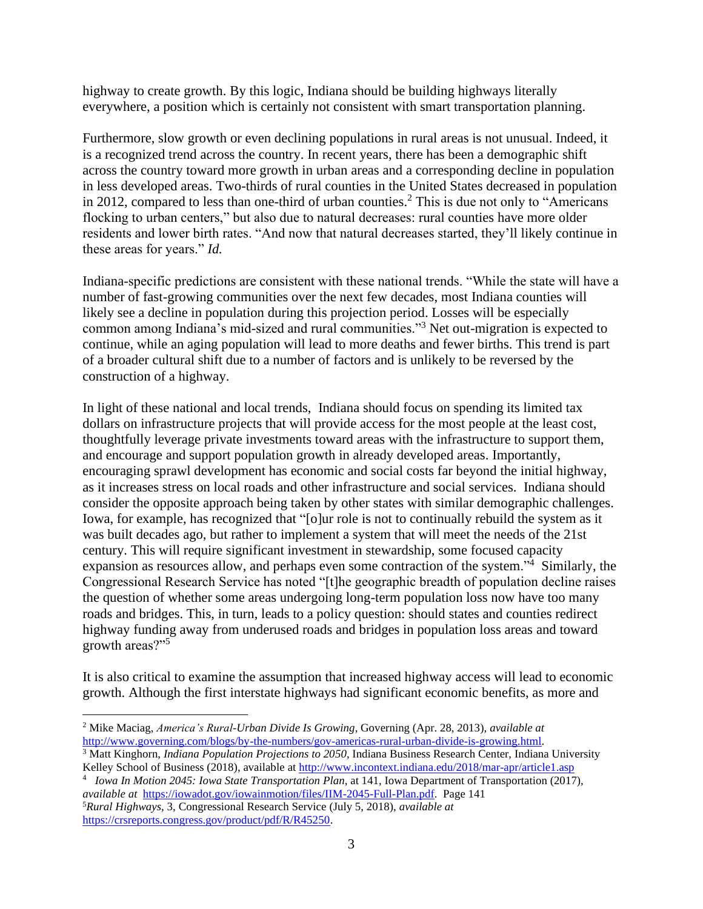highway to create growth. By this logic, Indiana should be building highways literally everywhere, a position which is certainly not consistent with smart transportation planning.

Furthermore, slow growth or even declining populations in rural areas is not unusual. Indeed, it is a recognized trend across the country. In recent years, there has been a demographic shift across the country toward more growth in urban areas and a corresponding decline in population in less developed areas. Two-thirds of rural counties in the United States decreased in population in 2012, compared to less than one-third of urban counties.<sup>2</sup> This is due not only to "Americans" flocking to urban centers," but also due to natural decreases: rural counties have more older residents and lower birth rates. "And now that natural decreases started, they'll likely continue in these areas for years." *Id.*

Indiana-specific predictions are consistent with these national trends. "While the state will have a number of fast-growing communities over the next few decades, most Indiana counties will likely see a decline in population during this projection period. Losses will be especially common among Indiana's mid-sized and rural communities."<sup>3</sup> Net out-migration is expected to continue, while an aging population will lead to more deaths and fewer births. This trend is part of a broader cultural shift due to a number of factors and is unlikely to be reversed by the construction of a highway.

In light of these national and local trends, Indiana should focus on spending its limited tax dollars on infrastructure projects that will provide access for the most people at the least cost, thoughtfully leverage private investments toward areas with the infrastructure to support them, and encourage and support population growth in already developed areas. Importantly, encouraging sprawl development has economic and social costs far beyond the initial highway, as it increases stress on local roads and other infrastructure and social services. Indiana should consider the opposite approach being taken by other states with similar demographic challenges. Iowa, for example, has recognized that "[o]ur role is not to continually rebuild the system as it was built decades ago, but rather to implement a system that will meet the needs of the 21st century. This will require significant investment in stewardship, some focused capacity expansion as resources allow, and perhaps even some contraction of the system."<sup>4</sup> Similarly, the Congressional Research Service has noted "[t]he geographic breadth of population decline raises the question of whether some areas undergoing long-term population loss now have too many roads and bridges. This, in turn, leads to a policy question: should states and counties redirect highway funding away from underused roads and bridges in population loss areas and toward growth areas?"<sup>5</sup>

It is also critical to examine the assumption that increased highway access will lead to economic growth. Although the first interstate highways had significant economic benefits, as more and

<sup>2</sup> Mike Maciag, *America's Rural-Urban Divide Is Growing*, Governing (Apr. 28, 2013), *available at* [http://www.governing.com/blogs/by-the-numbers/gov-americas-rural-urban-divide-is-growing.html.](http://www.governing.com/blogs/by-the-numbers/gov-americas-rural-urban-divide-is-growing.html)

<sup>3</sup> Matt Kinghorn, *Indiana Population Projections to 2050*, Indiana Business Research Center, Indiana University Kelley School of Business (2018), available at<http://www.incontext.indiana.edu/2018/mar-apr/article1.asp>

<sup>4</sup> *Iowa In Motion 2045: Iowa State Transportation Plan*, at 141, Iowa Department of Transportation (2017), *available at* [https://iowadot.gov/iowainmotion/files/IIM-2045-Full-Plan.pdf.](https://iowadot.gov/iowainmotion/files/IIM-2045-Full-Plan.pdf) Page 141 <sup>5</sup>*Rural Highways*, 3, Congressional Research Service (July 5, 2018), *available at*  [https://crsreports.congress.gov/product/pdf/R/R45250.](https://crsreports.congress.gov/product/pdf/R/R45250)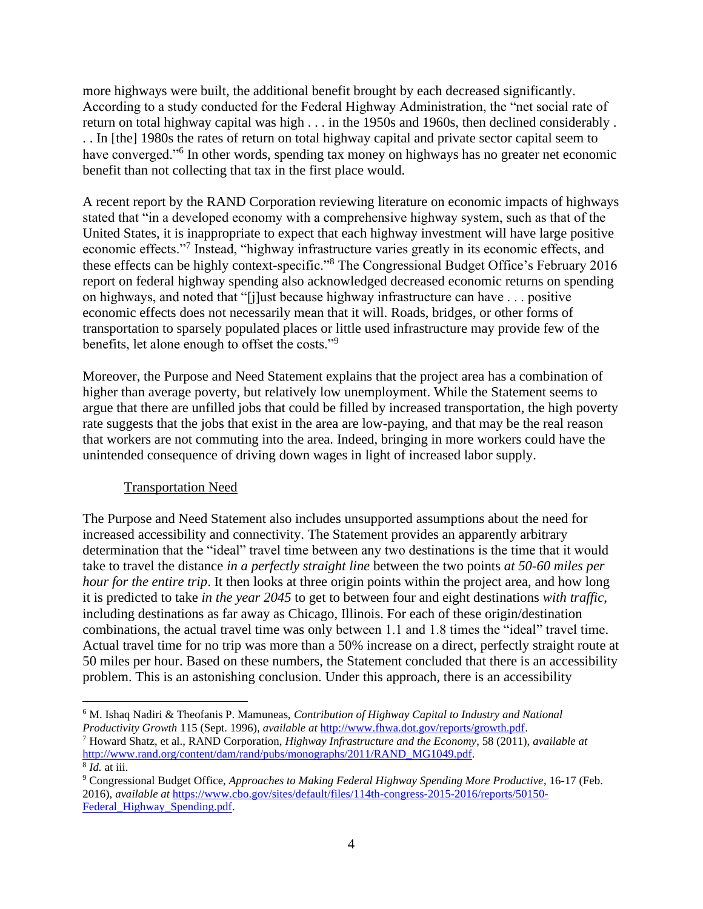more highways were built, the additional benefit brought by each decreased significantly. According to a study conducted for the Federal Highway Administration, the "net social rate of return on total highway capital was high . . . in the 1950s and 1960s, then declined considerably . . . In [the] 1980s the rates of return on total highway capital and private sector capital seem to have converged."<sup>6</sup> In other words, spending tax money on highways has no greater net economic benefit than not collecting that tax in the first place would.

A recent report by the RAND Corporation reviewing literature on economic impacts of highways stated that "in a developed economy with a comprehensive highway system, such as that of the United States, it is inappropriate to expect that each highway investment will have large positive economic effects."<sup>7</sup> Instead, "highway infrastructure varies greatly in its economic effects, and these effects can be highly context-specific."<sup>8</sup> The Congressional Budget Office's February 2016 report on federal highway spending also acknowledged decreased economic returns on spending on highways, and noted that "[j]ust because highway infrastructure can have . . . positive economic effects does not necessarily mean that it will. Roads, bridges, or other forms of transportation to sparsely populated places or little used infrastructure may provide few of the benefits, let alone enough to offset the costs."<sup>9</sup>

Moreover, the Purpose and Need Statement explains that the project area has a combination of higher than average poverty, but relatively low unemployment. While the Statement seems to argue that there are unfilled jobs that could be filled by increased transportation, the high poverty rate suggests that the jobs that exist in the area are low-paying, and that may be the real reason that workers are not commuting into the area. Indeed, bringing in more workers could have the unintended consequence of driving down wages in light of increased labor supply.

## Transportation Need

The Purpose and Need Statement also includes unsupported assumptions about the need for increased accessibility and connectivity. The Statement provides an apparently arbitrary determination that the "ideal" travel time between any two destinations is the time that it would take to travel the distance *in a perfectly straight line* between the two points *at 50-60 miles per hour for the entire trip*. It then looks at three origin points within the project area, and how long it is predicted to take *in the year 2045* to get to between four and eight destinations *with traffic*, including destinations as far away as Chicago, Illinois. For each of these origin/destination combinations, the actual travel time was only between 1.1 and 1.8 times the "ideal" travel time. Actual travel time for no trip was more than a 50% increase on a direct, perfectly straight route at 50 miles per hour. Based on these numbers, the Statement concluded that there is an accessibility problem. This is an astonishing conclusion. Under this approach, there is an accessibility

<sup>6</sup> M. Ishaq Nadiri & Theofanis P. Mamuneas, *Contribution of Highway Capital to Industry and National Productivity Growth* 115 (Sept. 1996), *available at* [http://www.fhwa.dot.gov/reports/growth.pdf.](http://www.fhwa.dot.gov/reports/growth.pdf)

<sup>7</sup> Howard Shatz, et al., RAND Corporation, *Highway Infrastructure and the Economy*, 58 (2011), *available at* [http://www.rand.org/content/dam/rand/pubs/monographs/2011/RAND\\_MG1049.pdf.](http://www.rand.org/content/dam/rand/pubs/monographs/2011/RAND_MG1049.pdf) 8 *Id.* at iii.

<sup>9</sup> Congressional Budget Office, *Approaches to Making Federal Highway Spending More Productive*, 16-17 (Feb. 2016), *available at* [https://www.cbo.gov/sites/default/files/114th-congress-2015-2016/reports/50150-](https://www.cbo.gov/sites/default/files/114th-congress-2015-2016/reports/50150-Federal_Highway_Spending.pdf) Federal Highway Spending.pdf.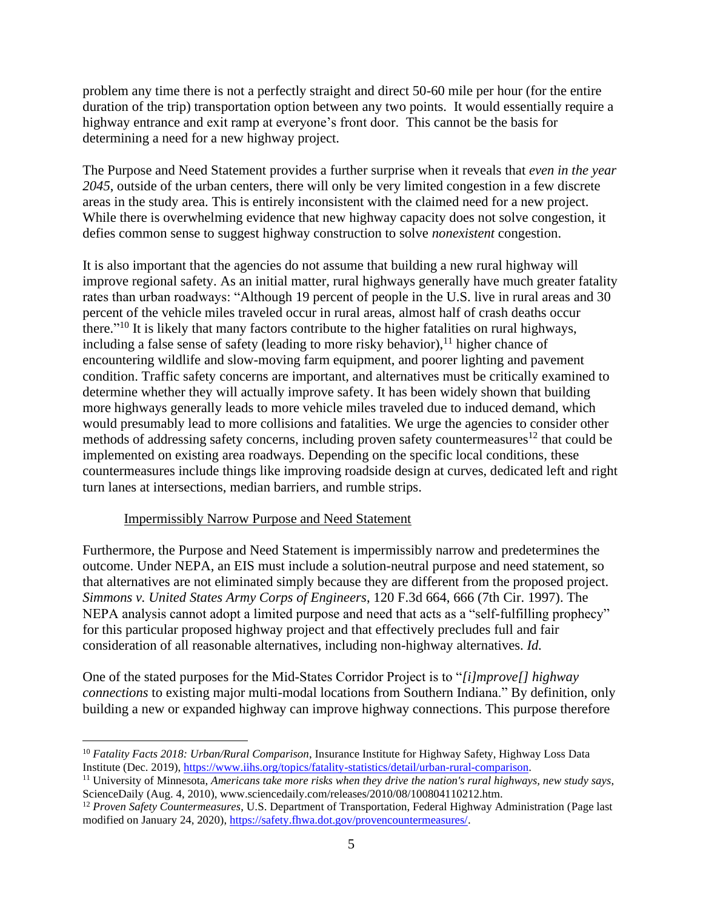problem any time there is not a perfectly straight and direct 50-60 mile per hour (for the entire duration of the trip) transportation option between any two points. It would essentially require a highway entrance and exit ramp at everyone's front door. This cannot be the basis for determining a need for a new highway project.

The Purpose and Need Statement provides a further surprise when it reveals that *even in the year 2045*, outside of the urban centers, there will only be very limited congestion in a few discrete areas in the study area. This is entirely inconsistent with the claimed need for a new project. While there is overwhelming evidence that new highway capacity does not solve congestion, it defies common sense to suggest highway construction to solve *nonexistent* congestion.

It is also important that the agencies do not assume that building a new rural highway will improve regional safety. As an initial matter, rural highways generally have much greater fatality rates than urban roadways: "Although 19 percent of people in the U.S. live in rural areas and 30 percent of the vehicle miles traveled occur in rural areas, almost half of crash deaths occur there."<sup>10</sup> It is likely that many factors contribute to the higher fatalities on rural highways, including a false sense of safety (leading to more risky behavior),  $\frac{11}{11}$  higher chance of encountering wildlife and slow-moving farm equipment, and poorer lighting and pavement condition. Traffic safety concerns are important, and alternatives must be critically examined to determine whether they will actually improve safety. It has been widely shown that building more highways generally leads to more vehicle miles traveled due to induced demand, which would presumably lead to more collisions and fatalities. We urge the agencies to consider other methods of addressing safety concerns, including proven safety countermeasures<sup>12</sup> that could be implemented on existing area roadways. Depending on the specific local conditions, these countermeasures include things like improving roadside design at curves, dedicated left and right turn lanes at intersections, median barriers, and rumble strips.

#### Impermissibly Narrow Purpose and Need Statement

Furthermore, the Purpose and Need Statement is impermissibly narrow and predetermines the outcome. Under NEPA, an EIS must include a solution-neutral purpose and need statement, so that alternatives are not eliminated simply because they are different from the proposed project. *Simmons v. United States Army Corps of Engineers*, 120 F.3d 664, 666 (7th Cir. 1997). The NEPA analysis cannot adopt a limited purpose and need that acts as a "self-fulfilling prophecy" for this particular proposed highway project and that effectively precludes full and fair consideration of all reasonable alternatives, including non-highway alternatives. *Id.*

One of the stated purposes for the Mid-States Corridor Project is to "*[i]mprove[] highway connections* to existing major multi-modal locations from Southern Indiana." By definition, only building a new or expanded highway can improve highway connections. This purpose therefore

<sup>10</sup> *Fatality Facts 2018: Urban/Rural Comparison*, Insurance Institute for Highway Safety, Highway Loss Data Institute (Dec. 2019), [https://www.iihs.org/topics/fatality-statistics/detail/urban-rural-comparison.](https://www.iihs.org/topics/fatality-statistics/detail/urban-rural-comparison)

<sup>11</sup> University of Minnesota, *Americans take more risks when they drive the nation's rural highways, new study says*, ScienceDaily (Aug. 4, 2010), www.sciencedaily.com/releases/2010/08/100804110212.htm.

<sup>&</sup>lt;sup>12</sup> Proven Safety Countermeasures, U.S. Department of Transportation, Federal Highway Administration (Page last modified on January 24, 2020), [https://safety.fhwa.dot.gov/provencountermeasures/.](https://safety.fhwa.dot.gov/provencountermeasures/)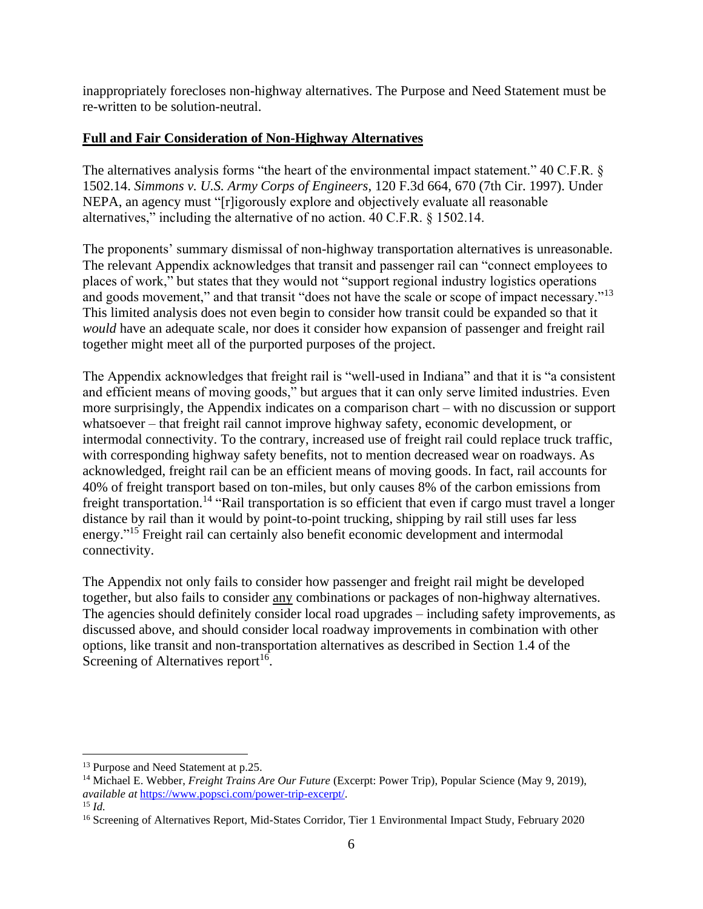inappropriately forecloses non-highway alternatives. The Purpose and Need Statement must be re-written to be solution-neutral.

# **Full and Fair Consideration of Non-Highway Alternatives**

The alternatives analysis forms "the heart of the environmental impact statement." 40 C.F.R. § 1502.14. *Simmons v. U.S. Army Corps of Engineers*, 120 F.3d 664, 670 (7th Cir. 1997). Under NEPA, an agency must "[r]igorously explore and objectively evaluate all reasonable alternatives," including the alternative of no action. 40 C.F.R. § 1502.14.

The proponents' summary dismissal of non-highway transportation alternatives is unreasonable. The relevant Appendix acknowledges that transit and passenger rail can "connect employees to places of work," but states that they would not "support regional industry logistics operations and goods movement," and that transit "does not have the scale or scope of impact necessary."<sup>13</sup> This limited analysis does not even begin to consider how transit could be expanded so that it *would* have an adequate scale, nor does it consider how expansion of passenger and freight rail together might meet all of the purported purposes of the project.

The Appendix acknowledges that freight rail is "well-used in Indiana" and that it is "a consistent and efficient means of moving goods," but argues that it can only serve limited industries. Even more surprisingly, the Appendix indicates on a comparison chart – with no discussion or support whatsoever – that freight rail cannot improve highway safety, economic development, or intermodal connectivity. To the contrary, increased use of freight rail could replace truck traffic, with corresponding highway safety benefits, not to mention decreased wear on roadways. As acknowledged, freight rail can be an efficient means of moving goods. In fact, rail accounts for 40% of freight transport based on ton-miles, but only causes 8% of the carbon emissions from freight transportation.<sup>14</sup> "Rail transportation is so efficient that even if cargo must travel a longer distance by rail than it would by point-to-point trucking, shipping by rail still uses far less energy."<sup>15</sup> Freight rail can certainly also benefit economic development and intermodal connectivity.

The Appendix not only fails to consider how passenger and freight rail might be developed together, but also fails to consider any combinations or packages of non-highway alternatives. The agencies should definitely consider local road upgrades – including safety improvements, as discussed above, and should consider local roadway improvements in combination with other options, like transit and non-transportation alternatives as described in Section 1.4 of the Screening of Alternatives report<sup>16</sup>.

<sup>13</sup> Purpose and Need Statement at p.25.

<sup>14</sup> Michael E. Webber, *Freight Trains Are Our Future* (Excerpt: Power Trip), Popular Science (May 9, 2019), *available at* [https://www.popsci.com/power-trip-excerpt/.](https://www.popsci.com/power-trip-excerpt/)

<sup>15</sup> *Id.*

<sup>&</sup>lt;sup>16</sup> Screening of Alternatives Report, Mid-States Corridor, Tier 1 Environmental Impact Study, February 2020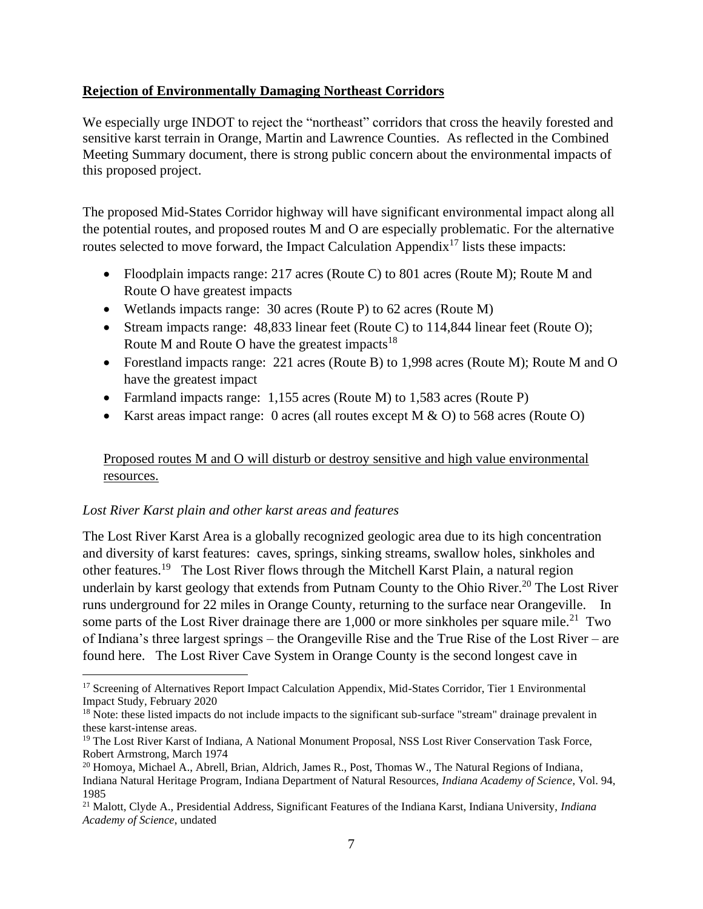#### **Rejection of Environmentally Damaging Northeast Corridors**

We especially urge INDOT to reject the "northeast" corridors that cross the heavily forested and sensitive karst terrain in Orange, Martin and Lawrence Counties. As reflected in the Combined Meeting Summary document, there is strong public concern about the environmental impacts of this proposed project.

The proposed Mid-States Corridor highway will have significant environmental impact along all the potential routes, and proposed routes M and O are especially problematic. For the alternative routes selected to move forward, the Impact Calculation Appendix<sup>17</sup> lists these impacts:

- Floodplain impacts range: 217 acres (Route C) to 801 acres (Route M); Route M and Route O have greatest impacts
- Wetlands impacts range: 30 acres (Route P) to 62 acres (Route M)
- Stream impacts range: 48,833 linear feet (Route C) to 114,844 linear feet (Route O); Route M and Route O have the greatest impacts<sup>18</sup>
- Forestland impacts range: 221 acres (Route B) to 1,998 acres (Route M); Route M and O have the greatest impact
- Farmland impacts range: 1,155 acres (Route M) to 1,583 acres (Route P)
- Karst areas impact range: 0 acres (all routes except M  $\&$  O) to 568 acres (Route O)

# Proposed routes M and O will disturb or destroy sensitive and high value environmental resources.

## *Lost River Karst plain and other karst areas and features*

The Lost River Karst Area is a globally recognized geologic area due to its high concentration and diversity of karst features: caves, springs, sinking streams, swallow holes, sinkholes and other features.<sup>19</sup> The Lost River flows through the Mitchell Karst Plain, a natural region underlain by karst geology that extends from Putnam County to the Ohio River.<sup>20</sup> The Lost River runs underground for 22 miles in Orange County, returning to the surface near Orangeville. In some parts of the Lost River drainage there are  $1,000$  or more sinkholes per square mile.<sup>21</sup> Two of Indiana's three largest springs – the Orangeville Rise and the True Rise of the Lost River – are found here. The Lost River Cave System in Orange County is the second longest cave in

<sup>&</sup>lt;sup>17</sup> Screening of Alternatives Report Impact Calculation Appendix, Mid-States Corridor, Tier 1 Environmental Impact Study, February 2020

<sup>&</sup>lt;sup>18</sup> Note: these listed impacts do not include impacts to the significant sub-surface "stream" drainage prevalent in these karst-intense areas.

<sup>&</sup>lt;sup>19</sup> The Lost River Karst of Indiana, A National Monument Proposal, NSS Lost River Conservation Task Force, Robert Armstrong, March 1974

<sup>&</sup>lt;sup>20</sup> Homoya, Michael A., Abrell, Brian, Aldrich, James R., Post, Thomas W., The Natural Regions of Indiana, Indiana Natural Heritage Program, Indiana Department of Natural Resources, *Indiana Academy of Science*, Vol. 94, 1985

<sup>21</sup> Malott, Clyde A., Presidential Address, Significant Features of the Indiana Karst, Indiana University, *Indiana Academy of Science*, undated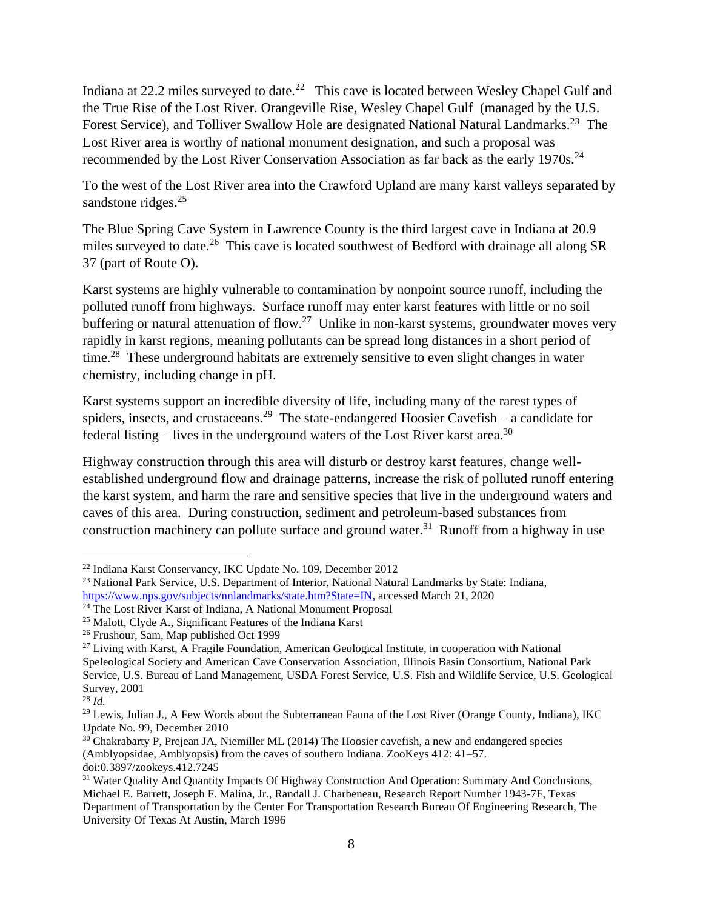Indiana at 22.2 miles surveyed to date.<sup>22</sup> This cave is located between Wesley Chapel Gulf and the True Rise of the Lost River. Orangeville Rise, Wesley Chapel Gulf (managed by the U.S. Forest Service), and Tolliver Swallow Hole are designated National Natural Landmarks.<sup>23</sup> The Lost River area is worthy of national monument designation, and such a proposal was recommended by the Lost River Conservation Association as far back as the early  $1970s^{24}$ 

To the west of the Lost River area into the Crawford Upland are many karst valleys separated by sandstone ridges.<sup>25</sup>

The Blue Spring Cave System in Lawrence County is the third largest cave in Indiana at 20.9 miles surveyed to date.<sup>26</sup> This cave is located southwest of Bedford with drainage all along SR 37 (part of Route O).

Karst systems are highly vulnerable to contamination by nonpoint source runoff, including the polluted runoff from highways. Surface runoff may enter karst features with little or no soil buffering or natural attenuation of flow.<sup>27</sup> Unlike in non-karst systems, groundwater moves very rapidly in karst regions, meaning pollutants can be spread long distances in a short period of time.<sup>28</sup> These underground habitats are extremely sensitive to even slight changes in water chemistry, including change in pH.

Karst systems support an incredible diversity of life, including many of the rarest types of spiders, insects, and crustaceans.<sup>29</sup> The state-endangered Hoosier Cavefish – a candidate for federal listing – lives in the underground waters of the Lost River karst area.<sup>30</sup>

Highway construction through this area will disturb or destroy karst features, change wellestablished underground flow and drainage patterns, increase the risk of polluted runoff entering the karst system, and harm the rare and sensitive species that live in the underground waters and caves of this area. During construction, sediment and petroleum-based substances from construction machinery can pollute surface and ground water.<sup>31</sup> Runoff from a highway in use

<sup>22</sup> Indiana Karst Conservancy, IKC Update No. 109, December 2012

<sup>&</sup>lt;sup>23</sup> National Park Service, U.S. Department of Interior, National Natural Landmarks by State: Indiana, [https://www.nps.gov/subjects/nnlandmarks/state.htm?State=IN,](https://www.nps.gov/subjects/nnlandmarks/state.htm?State=IN) accessed March 21, 2020

<sup>&</sup>lt;sup>24</sup> The Lost River Karst of Indiana, A National Monument Proposal

<sup>&</sup>lt;sup>25</sup> Malott, Clyde A., Significant Features of the Indiana Karst

<sup>26</sup> Frushour, Sam, Map published Oct 1999

<sup>&</sup>lt;sup>27</sup> Living with Karst, A Fragile Foundation, American Geological Institute, in cooperation with National Speleological Society and American Cave Conservation Association, Illinois Basin Consortium, National Park Service, U.S. Bureau of Land Management, USDA Forest Service, U.S. Fish and Wildlife Service, U.S. Geological Survey, 2001

<sup>28</sup> *Id.*

<sup>&</sup>lt;sup>29</sup> Lewis, Julian J., A Few Words about the Subterranean Fauna of the Lost River (Orange County, Indiana), IKC Update No. 99, December 2010

 $30$  Chakrabarty P, Prejean JA, Niemiller ML (2014) The Hoosier cavefish, a new and endangered species (Amblyopsidae, Amblyopsis) from the caves of southern Indiana. ZooKeys 412: 41–57. doi:0.3897/zookeys.412.7245

<sup>&</sup>lt;sup>31</sup> Water Quality And Quantity Impacts Of Highway Construction And Operation: Summary And Conclusions, Michael E. Barrett, Joseph F. Malina, Jr., Randall J. Charbeneau, Research Report Number 1943-7F, Texas Department of Transportation by the Center For Transportation Research Bureau Of Engineering Research, The University Of Texas At Austin, March 1996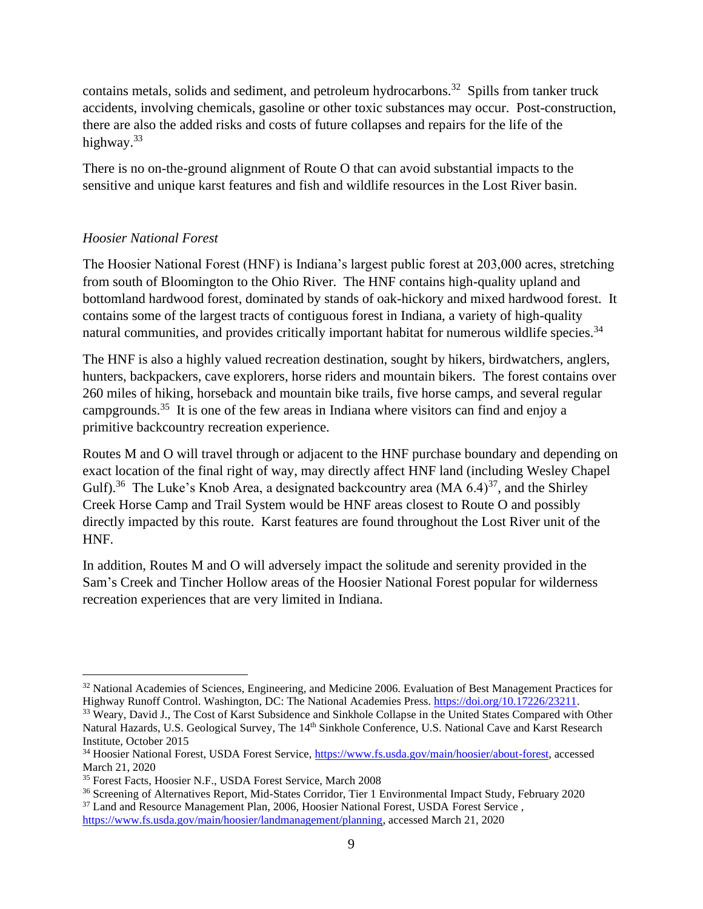contains metals, solids and sediment, and petroleum hydrocarbons.<sup>32</sup> Spills from tanker truck accidents, involving chemicals, gasoline or other toxic substances may occur. Post-construction, there are also the added risks and costs of future collapses and repairs for the life of the highway.<sup>33</sup>

There is no on-the-ground alignment of Route O that can avoid substantial impacts to the sensitive and unique karst features and fish and wildlife resources in the Lost River basin.

## *Hoosier National Forest*

The Hoosier National Forest (HNF) is Indiana's largest public forest at 203,000 acres, stretching from south of Bloomington to the Ohio River. The HNF contains high-quality upland and bottomland hardwood forest, dominated by stands of oak-hickory and mixed hardwood forest. It contains some of the largest tracts of contiguous forest in Indiana, a variety of high-quality natural communities, and provides critically important habitat for numerous wildlife species.<sup>34</sup>

The HNF is also a highly valued recreation destination, sought by hikers, birdwatchers, anglers, hunters, backpackers, cave explorers, horse riders and mountain bikers. The forest contains over 260 miles of hiking, horseback and mountain bike trails, five horse camps, and several regular campgrounds.<sup>35</sup> It is one of the few areas in Indiana where visitors can find and enjoy a primitive backcountry recreation experience.

Routes M and O will travel through or adjacent to the HNF purchase boundary and depending on exact location of the final right of way, may directly affect HNF land (including Wesley Chapel Gulf).<sup>36</sup> The Luke's Knob Area, a designated backcountry area (MA  $6.4$ )<sup>37</sup>, and the Shirley Creek Horse Camp and Trail System would be HNF areas closest to Route O and possibly directly impacted by this route. Karst features are found throughout the Lost River unit of the HNF.

In addition, Routes M and O will adversely impact the solitude and serenity provided in the Sam's Creek and Tincher Hollow areas of the Hoosier National Forest popular for wilderness recreation experiences that are very limited in Indiana.

<sup>32</sup> National Academies of Sciences, Engineering, and Medicine 2006. Evaluation of Best Management Practices for Highway Runoff Control. Washington, DC: The National Academies Press. [https://doi.org/10.17226/23211.](https://doi.org/10.17226/23211)

<sup>&</sup>lt;sup>33</sup> Weary, David J., The Cost of Karst Subsidence and Sinkhole Collapse in the United States Compared with Other Natural Hazards, U.S. Geological Survey, The 14<sup>th</sup> Sinkhole Conference, U.S. National Cave and Karst Research Institute, October 2015

<sup>&</sup>lt;sup>34</sup> Hoosier National Forest, USDA Forest Service, [https://www.fs.usda.gov/main/hoosier/about-forest,](https://www.fs.usda.gov/main/hoosier/about-forest) accessed March 21, 2020

<sup>35</sup> Forest Facts, Hoosier N.F., USDA Forest Service, March 2008

<sup>36</sup> Screening of Alternatives Report, Mid-States Corridor, Tier 1 Environmental Impact Study, February 2020

<sup>&</sup>lt;sup>37</sup> Land and Resource Management Plan, 2006, Hoosier National Forest, USDA Forest Service, [https://www.fs.usda.gov/main/hoosier/landmanagement/planning,](https://www.fs.usda.gov/main/hoosier/landmanagement/planning) accessed March 21, 2020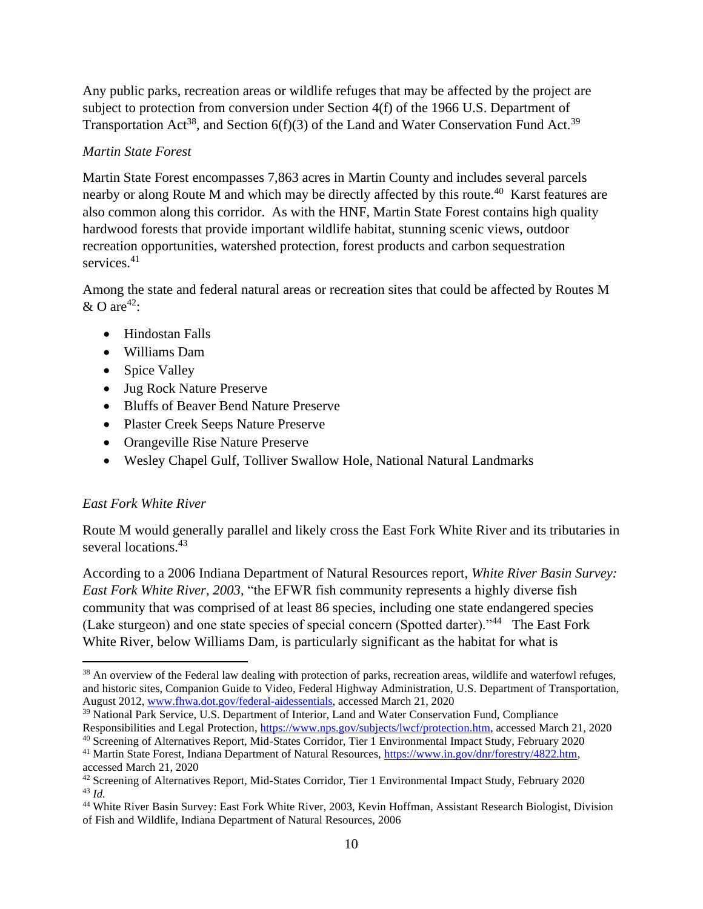Any public parks, recreation areas or wildlife refuges that may be affected by the project are subject to protection from conversion under Section 4(f) of the 1966 U.S. Department of Transportation Act<sup>38</sup>, and Section  $6(f)(3)$  of the Land and Water Conservation Fund Act.<sup>39</sup>

#### *Martin State Forest*

Martin State Forest encompasses 7,863 acres in Martin County and includes several parcels nearby or along Route M and which may be directly affected by this route.<sup>40</sup> Karst features are also common along this corridor. As with the HNF, Martin State Forest contains high quality hardwood forests that provide important wildlife habitat, stunning scenic views, outdoor recreation opportunities, watershed protection, forest products and carbon sequestration services.<sup>41</sup>

Among the state and federal natural areas or recreation sites that could be affected by Routes M  $\&$  O are<sup>42</sup>:

- Hindostan Falls
- Williams Dam
- Spice Valley
- Jug Rock Nature Preserve
- Bluffs of Beaver Bend Nature Preserve
- Plaster Creek Seeps Nature Preserve
- Orangeville Rise Nature Preserve
- Wesley Chapel Gulf, Tolliver Swallow Hole, National Natural Landmarks

## *East Fork White River*

Route M would generally parallel and likely cross the East Fork White River and its tributaries in several locations.<sup>43</sup>

According to a 2006 Indiana Department of Natural Resources report, *White River Basin Survey: East Fork White River, 2003*, "the EFWR fish community represents a highly diverse fish community that was comprised of at least 86 species, including one state endangered species (Lake sturgeon) and one state species of special concern (Spotted darter)."<sup>44</sup> The East Fork White River, below Williams Dam, is particularly significant as the habitat for what is

<sup>&</sup>lt;sup>38</sup> An overview of the Federal law dealing with protection of parks, recreation areas, wildlife and waterfowl refuges, and historic sites, Companion Guide to Video, Federal Highway Administration, U.S. Department of Transportation, August 2012, [www.fhwa.dot.gov/federal-aidessentials,](http://www.fhwa.dot.gov/federal-aidessentials) accessed March 21, 2020

<sup>&</sup>lt;sup>39</sup> National Park Service, U.S. Department of Interior, Land and Water Conservation Fund, Compliance Responsibilities and Legal Protection[, https://www.nps.gov/subjects/lwcf/protection.htm,](https://www.nps.gov/subjects/lwcf/protection.htm) accessed March 21, 2020

<sup>&</sup>lt;sup>40</sup> Screening of Alternatives Report, Mid-States Corridor, Tier 1 Environmental Impact Study, February 2020 <sup>41</sup> Martin State Forest, Indiana Department of Natural Resources, [https://www.in.gov/dnr/forestry/4822.htm,](https://www.in.gov/dnr/forestry/4822.htm)

accessed March 21, 2020

 $42$  Screening of Alternatives Report, Mid-States Corridor, Tier 1 Environmental Impact Study, February 2020 <sup>43</sup> *Id.*

<sup>&</sup>lt;sup>44</sup> White River Basin Survey: East Fork White River, 2003, Kevin Hoffman, Assistant Research Biologist, Division of Fish and Wildlife, Indiana Department of Natural Resources, 2006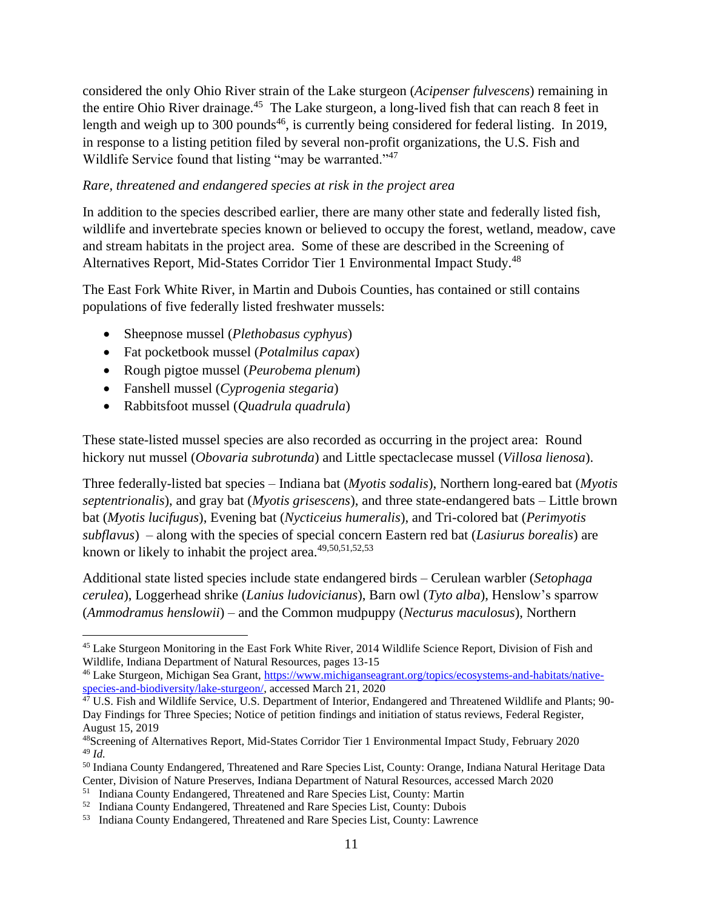considered the only Ohio River strain of the Lake sturgeon (*Acipenser fulvescens*) remaining in the entire Ohio River drainage.<sup>45</sup> The Lake sturgeon, a long-lived fish that can reach 8 feet in length and weigh up to 300 pounds<sup>46</sup>, is currently being considered for federal listing. In 2019, in response to a listing petition filed by several non-profit organizations, the U.S. Fish and Wildlife Service found that listing "may be warranted."<sup>47</sup>

#### *Rare, threatened and endangered species at risk in the project area*

In addition to the species described earlier, there are many other state and federally listed fish, wildlife and invertebrate species known or believed to occupy the forest, wetland, meadow, cave and stream habitats in the project area. Some of these are described in the Screening of Alternatives Report, Mid-States Corridor Tier 1 Environmental Impact Study.<sup>48</sup>

The East Fork White River, in Martin and Dubois Counties, has contained or still contains populations of five federally listed freshwater mussels:

- Sheepnose mussel (*Plethobasus cyphyus*)
- Fat pocketbook mussel (*Potalmilus capax*)
- Rough pigtoe mussel (*Peurobema plenum*)
- Fanshell mussel (*Cyprogenia stegaria*)
- Rabbitsfoot mussel (*Quadrula quadrula*)

These state-listed mussel species are also recorded as occurring in the project area: Round hickory nut mussel (*Obovaria subrotunda*) and Little spectaclecase mussel (*Villosa lienosa*).

Three federally-listed bat species – Indiana bat (*Myotis sodalis*), Northern long-eared bat (*Myotis septentrionalis*), and gray bat (*Myotis grisescens*), and three state-endangered bats – Little brown bat (*Myotis lucifugus*), Evening bat (*Nycticeius humeralis*), and Tri-colored bat (*Perimyotis subflavus*) – along with the species of special concern Eastern red bat (*Lasiurus borealis*) are known or likely to inhabit the project area.<sup>49,50,51,52,53</sup>

Additional state listed species include state endangered birds – Cerulean warbler (*Setophaga cerulea*), Loggerhead shrike (*Lanius ludovicianus*), Barn owl (*Tyto alba*), Henslow's sparrow (*Ammodramus henslowii*) – and the Common mudpuppy (*Necturus maculosus*), Northern

<sup>45</sup> Lake Sturgeon Monitoring in the East Fork White River, 2014 Wildlife Science Report, Division of Fish and Wildlife, Indiana Department of Natural Resources, pages 13-15

<sup>46</sup> Lake Sturgeon, Michigan Sea Grant, [https://www.michiganseagrant.org/topics/ecosystems-and-habitats/native](https://www.michiganseagrant.org/topics/ecosystems-and-habitats/native-species-and-biodiversity/lake-sturgeon/)[species-and-biodiversity/lake-sturgeon/,](https://www.michiganseagrant.org/topics/ecosystems-and-habitats/native-species-and-biodiversity/lake-sturgeon/) accessed March 21, 2020

 $4^7$  U.S. Fish and Wildlife Service, U.S. Department of Interior, Endangered and Threatened Wildlife and Plants; 90-Day Findings for Three Species; Notice of petition findings and initiation of status reviews, Federal Register, August 15, 2019

<sup>48</sup>Screening of Alternatives Report, Mid-States Corridor Tier 1 Environmental Impact Study, February 2020 <sup>49</sup> *Id.*

<sup>50</sup> Indiana County Endangered, Threatened and Rare Species List, County: Orange, Indiana Natural Heritage Data Center, Division of Nature Preserves, Indiana Department of Natural Resources, accessed March 2020

<sup>&</sup>lt;sup>51</sup> Indiana County Endangered, Threatened and Rare Species List, County: Martin

 $52$  Indiana County Endangered, Threatened and Rare Species List, County: Dubois

<sup>&</sup>lt;sup>53</sup> Indiana County Endangered, Threatened and Rare Species List, County: Lawrence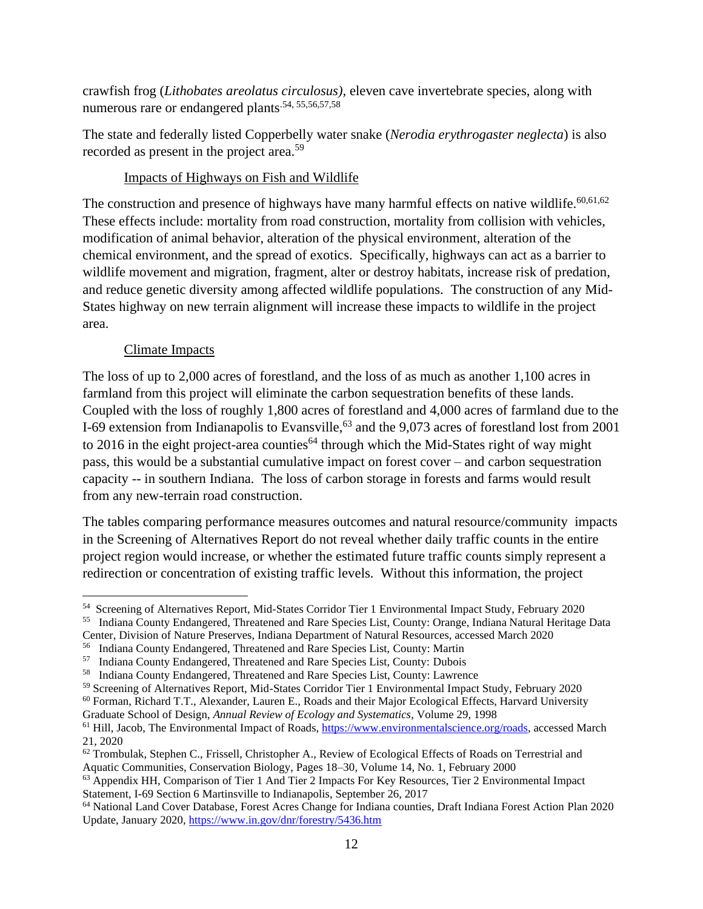crawfish frog (*Lithobates areolatus circulosus),* eleven cave invertebrate species, along with numerous rare or endangered plants<sup>.54, 55,56,57,58</sup>

The state and federally listed Copperbelly water snake (*Nerodia erythrogaster neglecta*) is also recorded as present in the project area.<sup>59</sup>

#### Impacts of Highways on Fish and Wildlife

The construction and presence of highways have many harmful effects on native wildlife.  $60,61,62$ These effects include: mortality from road construction, mortality from collision with vehicles, modification of animal behavior, alteration of the physical environment, alteration of the chemical environment, and the spread of exotics. Specifically, highways can act as a barrier to wildlife movement and migration, fragment, alter or destroy habitats, increase risk of predation, and reduce genetic diversity among affected wildlife populations. The construction of any Mid-States highway on new terrain alignment will increase these impacts to wildlife in the project area.

## Climate Impacts

The loss of up to 2,000 acres of forestland, and the loss of as much as another 1,100 acres in farmland from this project will eliminate the carbon sequestration benefits of these lands. Coupled with the loss of roughly 1,800 acres of forestland and 4,000 acres of farmland due to the I-69 extension from Indianapolis to Evansville,<sup>63</sup> and the 9,073 acres of forestland lost from 2001 to 2016 in the eight project-area counties<sup>64</sup> through which the Mid-States right of way might pass, this would be a substantial cumulative impact on forest cover – and carbon sequestration capacity -- in southern Indiana. The loss of carbon storage in forests and farms would result from any new-terrain road construction.

The tables comparing performance measures outcomes and natural resource/community impacts in the Screening of Alternatives Report do not reveal whether daily traffic counts in the entire project region would increase, or whether the estimated future traffic counts simply represent a redirection or concentration of existing traffic levels. Without this information, the project

<sup>55</sup> Indiana County Endangered, Threatened and Rare Species List, County: Orange, Indiana Natural Heritage Data Center, Division of Nature Preserves, Indiana Department of Natural Resources, accessed March 2020

Graduate School of Design, *Annual Review of Ecology and Systematics*, Volume 29, 1998

<sup>54</sup> Screening of Alternatives Report, Mid-States Corridor Tier 1 Environmental Impact Study, February 2020

<sup>56</sup> Indiana County Endangered, Threatened and Rare Species List, County: Martin

<sup>&</sup>lt;sup>57</sup> Indiana County Endangered, Threatened and Rare Species List, County: Dubois

<sup>&</sup>lt;sup>58</sup> Indiana County Endangered, Threatened and Rare Species List, County: Lawrence

<sup>59</sup> Screening of Alternatives Report, Mid-States Corridor Tier 1 Environmental Impact Study, February 2020

<sup>&</sup>lt;sup>60</sup> Forman, Richard T.T., Alexander, Lauren E., Roads and their Major Ecological Effects, Harvard University

<sup>&</sup>lt;sup>61</sup> Hill, Jacob, The Environmental Impact of Roads, [https://www.environmentalscience.org/roads,](https://www.environmentalscience.org/roads) accessed March 21, 2020

 $62$  Trombulak, Stephen C., Frissell, Christopher A., Review of Ecological Effects of Roads on Terrestrial and Aquatic Communities, Conservation Biology, Pages 18–30, Volume 14, No. 1, February 2000

<sup>&</sup>lt;sup>63</sup> Appendix HH, Comparison of Tier 1 And Tier 2 Impacts For Key Resources, Tier 2 Environmental Impact Statement, I-69 Section 6 Martinsville to Indianapolis, September 26, 2017

<sup>64</sup> National Land Cover Database, Forest Acres Change for Indiana counties, Draft Indiana Forest Action Plan 2020 Update, January 2020[, https://www.in.gov/dnr/forestry/5436.htm](https://www.in.gov/dnr/forestry/5436.htm)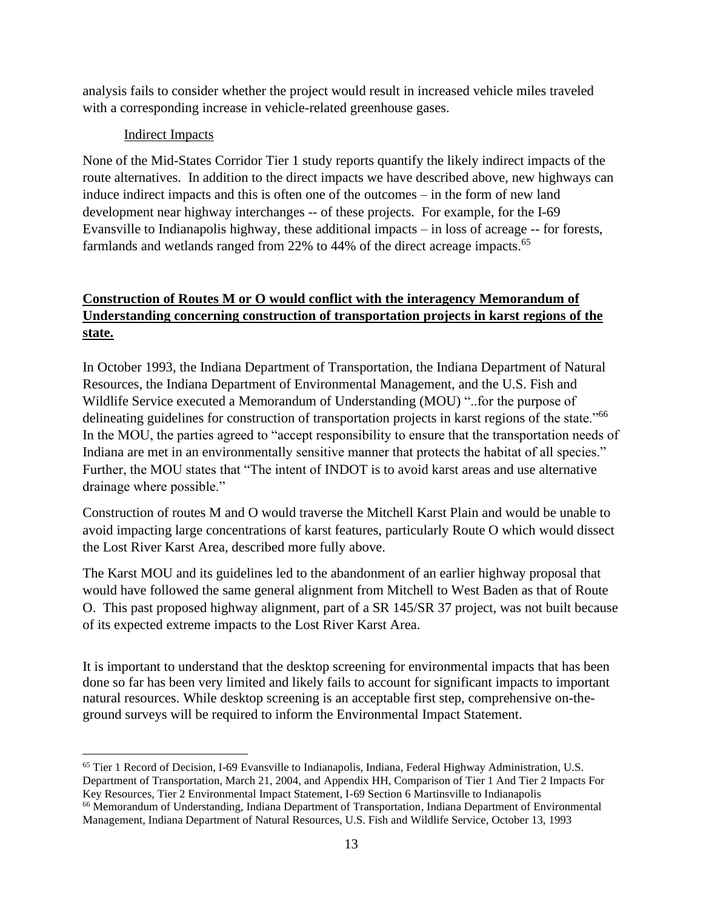analysis fails to consider whether the project would result in increased vehicle miles traveled with a corresponding increase in vehicle-related greenhouse gases.

# Indirect Impacts

None of the Mid-States Corridor Tier 1 study reports quantify the likely indirect impacts of the route alternatives. In addition to the direct impacts we have described above, new highways can induce indirect impacts and this is often one of the outcomes – in the form of new land development near highway interchanges -- of these projects. For example, for the I-69 Evansville to Indianapolis highway, these additional impacts – in loss of acreage -- for forests, farmlands and wetlands ranged from 22% to 44% of the direct acreage impacts.<sup>65</sup>

# **Construction of Routes M or O would conflict with the interagency Memorandum of Understanding concerning construction of transportation projects in karst regions of the state.**

In October 1993, the Indiana Department of Transportation, the Indiana Department of Natural Resources, the Indiana Department of Environmental Management, and the U.S. Fish and Wildlife Service executed a Memorandum of Understanding (MOU) "..for the purpose of delineating guidelines for construction of transportation projects in karst regions of the state."<sup>66</sup> In the MOU, the parties agreed to "accept responsibility to ensure that the transportation needs of Indiana are met in an environmentally sensitive manner that protects the habitat of all species." Further, the MOU states that "The intent of INDOT is to avoid karst areas and use alternative drainage where possible."

Construction of routes M and O would traverse the Mitchell Karst Plain and would be unable to avoid impacting large concentrations of karst features, particularly Route O which would dissect the Lost River Karst Area, described more fully above.

The Karst MOU and its guidelines led to the abandonment of an earlier highway proposal that would have followed the same general alignment from Mitchell to West Baden as that of Route O. This past proposed highway alignment, part of a SR 145/SR 37 project, was not built because of its expected extreme impacts to the Lost River Karst Area.

It is important to understand that the desktop screening for environmental impacts that has been done so far has been very limited and likely fails to account for significant impacts to important natural resources. While desktop screening is an acceptable first step, comprehensive on-theground surveys will be required to inform the Environmental Impact Statement.

<sup>65</sup> Tier 1 Record of Decision, I-69 Evansville to Indianapolis, Indiana, Federal Highway Administration, U.S. Department of Transportation, March 21, 2004, and Appendix HH, Comparison of Tier 1 And Tier 2 Impacts For Key Resources, Tier 2 Environmental Impact Statement, I-69 Section 6 Martinsville to Indianapolis <sup>66</sup> Memorandum of Understanding, Indiana Department of Transportation, Indiana Department of Environmental Management, Indiana Department of Natural Resources, U.S. Fish and Wildlife Service, October 13, 1993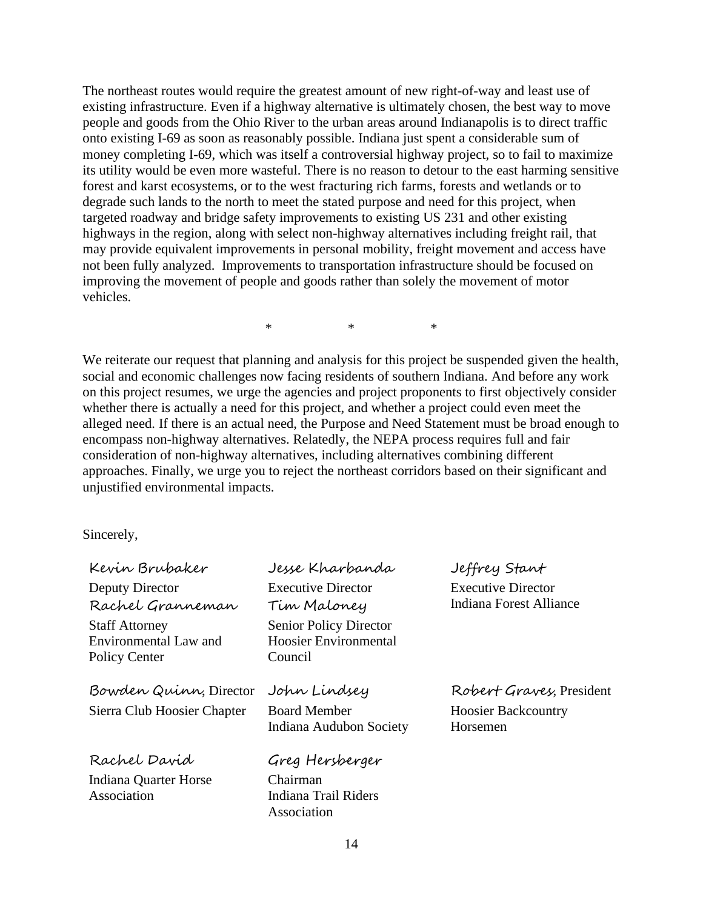The northeast routes would require the greatest amount of new right-of-way and least use of existing infrastructure. Even if a highway alternative is ultimately chosen, the best way to move people and goods from the Ohio River to the urban areas around Indianapolis is to direct traffic onto existing I-69 as soon as reasonably possible. Indiana just spent a considerable sum of money completing I-69, which was itself a controversial highway project, so to fail to maximize its utility would be even more wasteful. There is no reason to detour to the east harming sensitive forest and karst ecosystems, or to the west fracturing rich farms, forests and wetlands or to degrade such lands to the north to meet the stated purpose and need for this project, when targeted roadway and bridge safety improvements to existing US 231 and other existing highways in the region, along with select non-highway alternatives including freight rail, that may provide equivalent improvements in personal mobility, freight movement and access have not been fully analyzed. Improvements to transportation infrastructure should be focused on improving the movement of people and goods rather than solely the movement of motor vehicles.

\* \* \*

We reiterate our request that planning and analysis for this project be suspended given the health, social and economic challenges now facing residents of southern Indiana. And before any work on this project resumes, we urge the agencies and project proponents to first objectively consider whether there is actually a need for this project, and whether a project could even meet the alleged need. If there is an actual need, the Purpose and Need Statement must be broad enough to encompass non-highway alternatives. Relatedly, the NEPA process requires full and fair consideration of non-highway alternatives, including alternatives combining different approaches. Finally, we urge you to reject the northeast corridors based on their significant and unjustified environmental impacts.

Sincerely,

| Kevin Brubaker              | Jesse Kharbanda               | Jeffrey Stant                  |
|-----------------------------|-------------------------------|--------------------------------|
| Deputy Director             | <b>Executive Director</b>     | <b>Executive Director</b>      |
| Rachel Granneman            | Tim Maloney                   | <b>Indiana Forest Alliance</b> |
| <b>Staff Attorney</b>       | <b>Senior Policy Director</b> |                                |
| Environmental Law and       | <b>Hoosier Environmental</b>  |                                |
| Policy Center               | Council                       |                                |
| Bowden Quinn, Director      | John Lindsey                  | Robert Graves, President       |
|                             |                               |                                |
| Sierra Club Hoosier Chapter | <b>Board Member</b>           | <b>Hoosier Backcountry</b>     |
|                             | Indiana Audubon Society       | Horsemen                       |
| Rachel David                | Greg Hersberger               |                                |
| Indiana Quarter Horse       | Chairman                      |                                |
| Association                 | Indiana Trail Riders          |                                |
|                             | Association                   |                                |
|                             |                               |                                |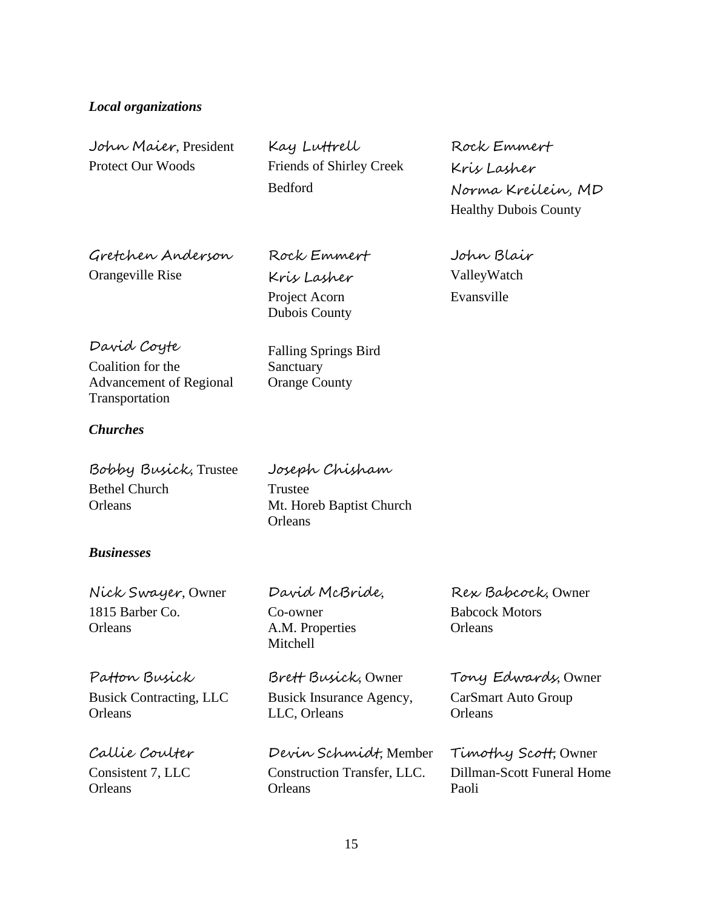#### *Local organizations*

Protect Our Woods Friends of Shirley Creek Kris Lasher

John Maier, President Kay Luttrell Rock Emmert

Bedford Norma Kreilein, MD Healthy Dubois County

Gretchen Anderson Rock Emmert John Blair

Orangeville Rise Kris Lasher ValleyWatch Project Acorn Dubois County

David Coyte Falling Springs Bird

Coalition for the Advancement of Regional Transportation

Sanctuary Orange County

#### *Churches*

| Bobby Busick, Trustee | Joseph Chisham           |
|-----------------------|--------------------------|
| <b>Bethel Church</b>  | Trustee                  |
| Orleans               | Mt. Horeb Baptist Church |
|                       | Orleans                  |

#### *Businesses*

Nick Swayer, Owner David McBride, Rex Babcock, Owner 1815 Barber Co. Co-owner Babcock Motors Orleans **A.M. Properties** Orleans

Busick Contracting, LLC **Orleans** 

Mitchell

Busick Insurance Agency, LLC, Orleans

Callie Coulter Devin Schmidt, Member Timothy Scott, Owner Consistent 7, LLC Construction Transfer, LLC. Dillman-Scott Funeral Home Orleans Orleans Paoli

Evansville

Patton Busick Brett Busick, Owner Tony Edwards, Owner CarSmart Auto Group **Orleans**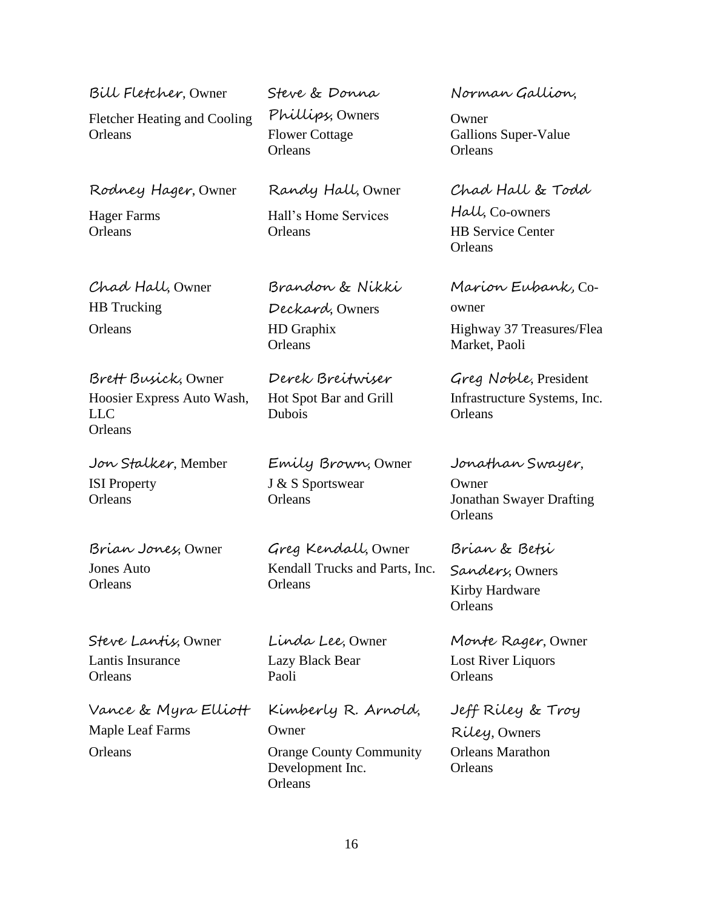| Bill Fletcher, Owner<br><b>Fletcher Heating and Cooling</b><br>Orleans     | Steve & Donna<br>Phillips, Owners<br><b>Flower Cottage</b><br>Orleans | Norman Gallion<br>Owner<br>Gallions Super-Value<br>Orleans                 |
|----------------------------------------------------------------------------|-----------------------------------------------------------------------|----------------------------------------------------------------------------|
| Rodney Hager, Owner<br><b>Hager Farms</b><br>Orleans                       | Randy Hall, Owner<br>Hall's Home Services<br>Orleans                  | Chad Hall & Todd<br>Hall, Co-owners<br><b>HB</b> Service Center<br>Orleans |
| Chad Hall, Owner<br><b>HB</b> Trucking<br>Orleans                          | Brandon & Nikki<br>Deckard, Owners<br>HD Graphix<br>Orleans           | Marion Eubank, Co-<br>owner<br>Highway 37 Treasures/Flea<br>Market, Paoli  |
| Brett Busick, Owner<br>Hoosier Express Auto Wash,<br><b>LLC</b><br>Orleans | Derek Breitwiser<br>Hot Spot Bar and Grill<br>Dubois                  | Greg Noble, President<br>Infrastructure Systems, Inc.<br>Orleans           |
| Jon Stalker, Member<br><b>ISI</b> Property<br>Orleans                      | Emily Brown, Owner<br>J & S Sportswear<br>Orleans                     | Jonathan Swayer,<br>Owner<br><b>Jonathan Swayer Drafting</b><br>Orleans    |
| Brian Jones, Owner<br><b>Jones Auto</b><br>Orleans                         | Greg Kendall, Owner<br>Kendall Trucks and Parts, Inc.<br>Orleans      | Brian & Betsi<br>Sandery, Owners<br>Kirby Hardware<br>Orleans              |
| Steve Lantis, Owner<br>Lantis Insurance<br>Orleans                         | Linda Lee, Owner<br>Lazy Black Bear<br>Paoli                          | Monte Rager, Owner<br>Lost River Liquors<br>Orleans                        |
| Vance & Myra Elliott<br>Maple Leaf Farms                                   | Kimberly R. Arnold,<br>Owner                                          | Jeff Riley & Troy<br>Riley, Owners                                         |

Owner Orleans Orange County Community Development Inc. Orleans<sup>1</sup>

Orleans Marathon

Orleans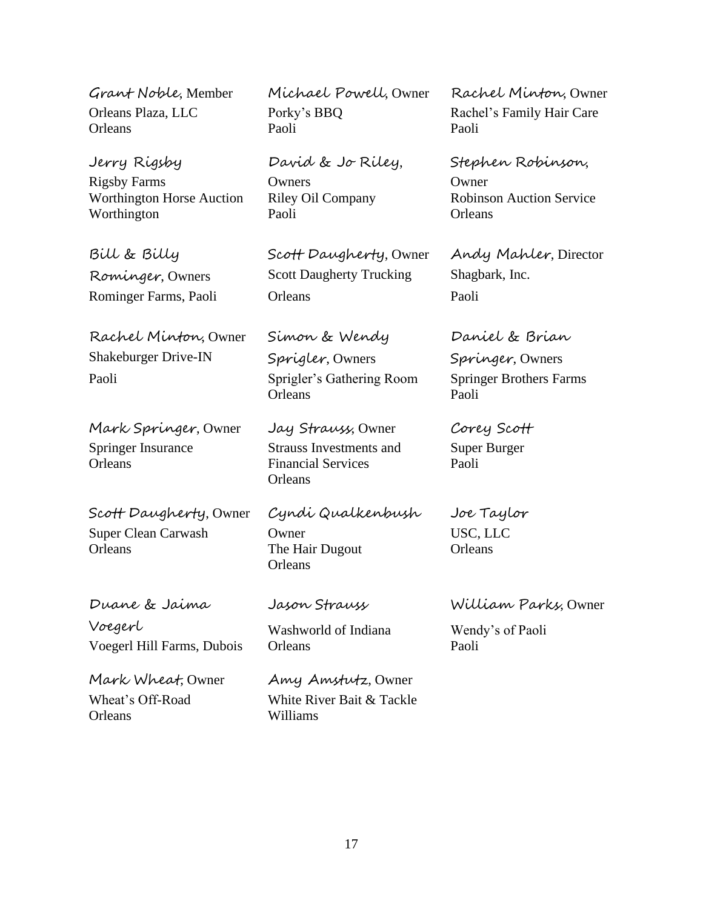Jerry Rigsby Rigsby Farms Worthington Horse Auction Worthington

Bill & Billy Rominger, Owners

Rachel Minton, Owner Shakeburger Drive-IN Paoli Sprigler's Gathering Room Springer Brothers Farms

Mark Springer, Owner Jay Strauss, Owner Corey Scott Springer Insurance **Orleans** 

Scott Daugherty, Owner Cyndi Qualkenbush Joe Taylor Super Clean Carwash Owner USC, LLC Orleans The Hair Dugout Orleans

Voegerl Washworld of Indiana Wendy's of Paoli Voegerl Hill Farms, Dubois Orleans Paoli

Orleans Williams

Grant Noble, Member Michael Powell, Owner Rachel Minton, Owner Orleans Plaza, LLC Porky's BBQ Rachel's Family Hair Care Orleans Paoli Paoli

> David & Jo Riley, **Owners** Riley Oil Company Paoli

Scott Daugherty, Owner Scott Daugherty Trucking Rominger Farms, Paoli **Dreams** Paoli Paoli

> Simon & Wendy Sprigler, Owners Orleans Paoli

Strauss Investments and Financial Services **Orleans** 

**Orleans** 

Mark Wheat, Owner Amy Amstutz, Owner Wheat's Off-Road White River Bait & Tackle

Stephen Robinson, **Owner** Robinson Auction Service **Orleans** 

Andy Mahler, Director Shagbark, Inc.

Daniel & Brian Springer, Owners

Super Burger Paoli

Duane & Jaima Jason Strauss William Parks, Owner